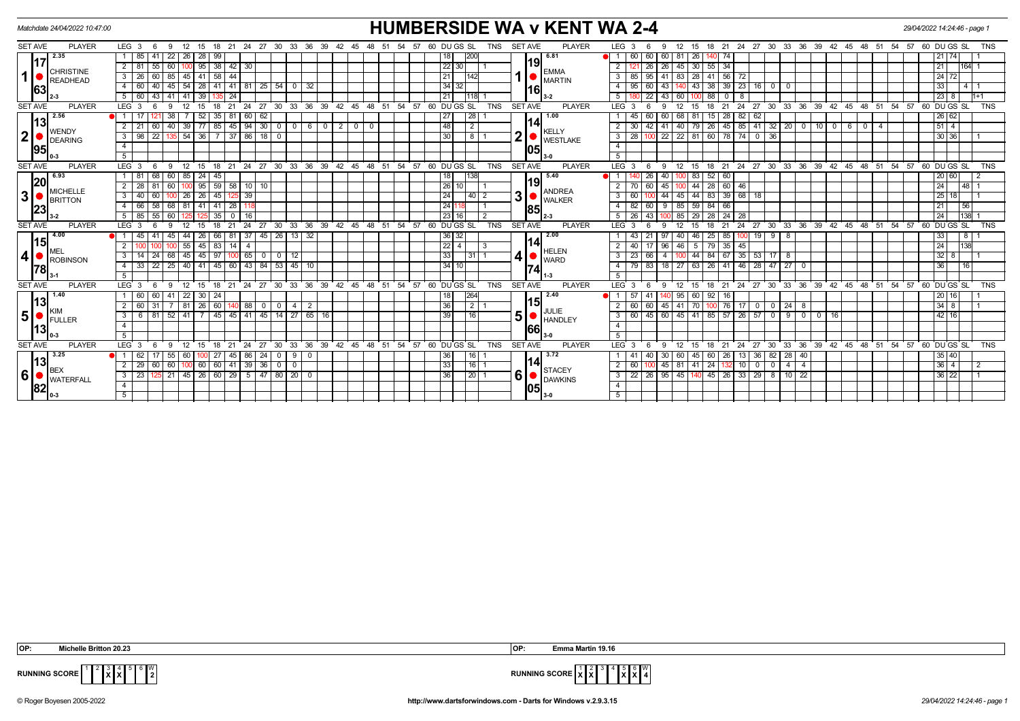| Matchdate 24/04/2022 10:47:00                               |                                                                                                                      | <b>HUMBERSIDE WA v KENT WA 2-4</b>                                                                                            | 29/04/2022 14:24:46 - page 1                                                                                                                                               |
|-------------------------------------------------------------|----------------------------------------------------------------------------------------------------------------------|-------------------------------------------------------------------------------------------------------------------------------|----------------------------------------------------------------------------------------------------------------------------------------------------------------------------|
| <b>PLAYER</b><br><b>SET AVE</b>                             | LEG <sub>3</sub><br>12<br>15 18 21 24 27 30 33 36 39 42 45<br>6<br>9                                                 | 48 51 54 57<br>60 DU GS SL<br><b>TNS</b><br><b>SET AVE</b>                                                                    | <b>PLAYER</b><br>LEG <sub>3</sub><br>15 18 21 24 27 30 33 36 39 42 45 48 51 54 57 60 DUGS SL<br>12<br><b>TNS</b><br>9<br>-6                                                |
| 2.35<br>117<br><b>CHRISTINE</b><br>READHEAD<br>63           | 85<br>22 26 28<br>99<br>-41                                                                                          | 6.81<br>18<br> 200                                                                                                            | 26 140<br> 21 74 <br>  60<br>60<br>60   81<br>74                                                                                                                           |
|                                                             | $2 \mid 81$<br>55 60 100 95 38 42 30                                                                                 | 19<br>$\sqrt{22}$ 30<br><b>EMMA</b>                                                                                           | $26$ 45 30 55 34<br>$2$   121   26<br> 21 <br> 164  1                                                                                                                      |
|                                                             | 26<br>60 85 45 41 58 44<br>3                                                                                         | $\overline{21}$<br>142<br><b>MARTIN</b>                                                                                       | 41   83   28   41   56   72<br>3   85   95<br>24 72                                                                                                                        |
|                                                             | 60<br>40 45 54 28 41 41 81 25 54<br>$\overline{0}$                                                                   | 34 <br>32<br>32  <br>16                                                                                                       | 43 38 39 23 16 0 0<br>$4 \mid 95$<br>60<br> 33 <br>43 <sup>1</sup><br>1411                                                                                                 |
|                                                             | $5 \mid 60$<br>43 41 41<br>39<br>24                                                                                  | 21<br>118                                                                                                                     | $\overline{22}$<br>5 I<br>60<br>88<br>8<br>$\sqrt{23}$ 8<br>$11+1$<br>43 I<br>$\circ$ 1                                                                                    |
| <b>SET AVE</b><br><b>PLAYER</b>                             | $LEG^3$ 3<br>12<br>24<br>$\frac{1}{27}$<br>$\degree$ 30 $\degree$<br>33<br>15<br>18<br>- 21<br>-6<br>9               | 39<br>45 48 51 54<br>$57.60$ DUGS SL<br><b>TNS</b><br><b>SET AVE</b><br>ີ 36<br>42                                            | $24$ 27 30 33<br>60 DUGS SL<br><b>PLAYER</b><br>LEG 3<br>ີ 36 ີ<br>39 42 45 48 51<br>54<br>57<br><b>TNS</b><br>12<br>15<br>18<br>21<br>-9                                  |
| 2.56                                                        | 52<br>62<br>35<br>60                                                                                                 | 1.00<br>27<br>28 I                                                                                                            | 45<br>60<br>68<br>81<br>82<br> 26 62 <br>60<br>28                                                                                                                          |
| 13<br><b>WENDY</b>                                          | $\overline{77}$<br>39<br>85<br>45<br>$94$ 30 0 0<br>21<br>60<br>40 l                                                 | 14<br>48<br>$\overline{2}$<br>$\begin{array}{c c} \hline \text{6} & \text{0} \end{array}$<br>$\overline{2}$<br>$0$ 0<br>KELLY | 85<br>41 32 20<br>$\overline{5114}$<br>$2 \mid 30$<br>42<br>79 26<br>45<br>$0$ 10<br>41   40<br>$\overline{0}$<br>6<br>$\circ$<br>$\overline{4}$                           |
| 2 <sup>1</sup><br><b>DEARING</b>                            | 22 135 54 36<br>7 37 86 18 0<br>$\sqrt{98}$<br>3                                                                     | n<br>30<br>$8\overline{1}$<br><b>WESTLAKE</b>                                                                                 | $3 \mid 28$<br>22 22 81 60 78 74 0 36<br>30 36 <br>100                                                                                                                     |
| 95                                                          | $\overline{4}$                                                                                                       | 05                                                                                                                            | $\overline{4}$                                                                                                                                                             |
|                                                             | 5 <sup>5</sup>                                                                                                       | $3-0$                                                                                                                         | 5                                                                                                                                                                          |
| <b>SET AVE</b><br><b>PLAYER</b>                             | 12 15<br>$18$ 21<br>LEG <sub>3</sub><br>-9<br>- 6                                                                    | 24 27 30 33 36 39 42 45 48 51 54 57 60 DUGS SL<br><b>SET AVE</b><br>TNS                                                       | <b>PLAYER</b><br>$LEG$ 3<br>18 21 24 27 30 33 36 39 42 45 48 51 54 57 60 DUGS SL<br>9<br>12<br>15<br>TNS<br>-6                                                             |
| 6.93<br> 20<br><b>MICHELLE</b><br>3<br><b>BRITTON</b><br>23 | 68 60<br>$1 \mid 81$<br>85<br>24<br>45                                                                               | 5.40<br>18<br>138l                                                                                                            | 83<br>52<br>26<br>40 l<br>60<br> 20 60                                                                                                                                     |
|                                                             | 95<br>$59$ 58 10 10<br>28<br>100                                                                                     | 19<br>26<br>10 I<br><b>ANDREA</b>                                                                                             | 44 28 60<br>60<br>45 I<br>46<br> 24 <br>$148$ 1<br>2   70<br>100                                                                                                           |
|                                                             | $\overline{26}$<br>$\overline{26}$<br>39<br>40<br>45<br>60 l<br>3<br>125                                             | 31<br>24<br>$40$   2<br><b>WALKER</b>                                                                                         | 44 83 39 68<br>$3 \mid 60$<br>44<br>45<br> 25 18 <br>-18<br>∣ 1                                                                                                            |
|                                                             | 66<br>58 68 81 41 41 28                                                                                              | 24<br>$\overline{1}$ 1<br>85                                                                                                  | $59$ 84 66<br>$4 \mid 82$<br>$\sqrt{60}$<br>$9 \mid 85$<br> 21 <br> 56                                                                                                     |
|                                                             | 5 85 55 60<br>$35$ 0<br>$\overline{16}$<br>125                                                                       | 231<br>$\overline{2}$<br>16 I<br>2-3                                                                                          | $5 \mid 26 \mid 43$<br>100 85 29 28 24 28<br> 24 <br>T <sub>138</sub>                                                                                                      |
| <b>SET AVE</b><br><b>PLAYER</b>                             | 12<br>24<br>27<br>່ 30 ີ<br>LEG <sup>3</sup><br>6<br>15<br>18<br>21<br>$\mathbf{q}$                                  | 33 36 39 42 45 48 51 54 57 60 DUGS SL<br><b>TNS</b><br><b>SET AVE</b>                                                         | <b>PLAYER</b><br>$LEG$ 3<br>18<br>24<br>$27$ 30 33 36 39 42 45 48 51 54 57<br>60 DUGS SL<br>12<br>15<br>21<br><b>TNS</b><br>9                                              |
| 4.00<br> 15                                                 | 37 45 26 13 32<br>45<br>44<br>26<br>66 I 81<br>45<br>-41                                                             | 36<br>2.00<br>32<br>14                                                                                                        | 46 25<br>85<br>33<br>$\overline{8}$<br>43<br>40<br>$1998$<br>21<br>97<br>100                                                                                               |
| MEL                                                         | $\overline{2}$<br>55<br>45<br>$83 \mid 14 \mid$<br>$\overline{4}$                                                    | 22<br>$\overline{1}$ 3<br><b>HELEN</b>                                                                                        | 5 79 35 45<br> 24 <br>1138<br>2   40<br>$96$ 46<br>17                                                                                                                      |
| $\overline{\mathbf{4}}$<br>ROBINSON<br> 78                  | 14<br>45<br>45<br>97 100 65 00112<br>68<br>-24                                                                       | 33<br>$31$   1<br>$\blacksquare$ WARD                                                                                         | 44 84 67 35 53 17 8<br>$3 \mid 23$<br>66<br>3218<br>4 100                                                                                                                  |
|                                                             | $\sqrt{45}$<br>$40 \mid 41$<br>  45   60   43   84   53  <br>33<br>$22$   25                                         | 134 I<br>10<br>10 l<br>174                                                                                                    | $4 \mid 79$<br>83<br>63 26 41 46<br>28   47   27<br>36<br>$18$ $27$<br>$\overline{116}$<br>$\overline{0}$                                                                  |
|                                                             | 5 <sup>5</sup>                                                                                                       |                                                                                                                               | 5 <sup>5</sup>                                                                                                                                                             |
| <b>PLAYER</b><br><b>SET AVE</b>                             | 27<br>30<br>33<br>LEG <sub>3</sub><br>12<br>18<br>24<br>9<br>15<br>21<br>-6                                          | 36<br>39<br>42<br>45 48 51<br>54<br>57<br>60 DU GS SL<br><b>TNS</b><br><b>SET AVE</b>                                         | LEG 3<br>$30^{\circ}$<br>33<br>$36^\circ$<br>39 42 45<br>48 51<br>54 57<br>60 DU GS SL<br><b>PLAYER</b><br>18<br>21<br>24<br>27<br><b>TNS</b><br>-9<br>12<br>15            |
| 1.40<br> 13                                                 | 60  <br>22<br>60   41  <br>30 I<br>-24                                                                               | 264<br>18<br>2.40<br>15                                                                                                       | 20 16 <br>57<br>41<br>95<br>60<br>92<br>16                                                                                                                                 |
| KIM                                                         | 60<br>60<br>$\overline{81}$<br>26<br>88<br>I 0 I<br>$\circ$ 1<br>$\overline{4}$                                      | 36<br>$2 \mid 1$<br>$\overline{2}$<br><b>IJULIE</b>                                                                           | 34 8<br>2 I<br>60<br>45   41<br>76<br>60<br>70<br>17<br>- 8<br>- 0                                                                                                         |
| 5 <sup>1</sup><br><b>IFULLER</b>                            | 45   14   27<br>52 41<br>$45 \mid 45 \mid$<br>41<br>6<br>-81                                                         | 51<br>39<br>16<br>$65$ 16<br>HANDLEY                                                                                          | 26<br> 42 16 <br>$3 \mid 60$<br>45<br>60 45<br>41<br>85 57<br>-9 I<br>$0$   0<br>16<br>57<br>$\overline{\mathbf{0}}$                                                       |
| 13                                                          | 4                                                                                                                    | 66                                                                                                                            | $\overline{4}$                                                                                                                                                             |
|                                                             | 5                                                                                                                    | l 3-0                                                                                                                         | 5                                                                                                                                                                          |
| <b>PLAYER</b><br><b>SET AVE</b>                             | LEG <sup>3</sup><br>12<br>24<br>27<br>30<br>33<br>6<br>15<br>18<br>$^{\circ}$ 21<br>- 9                              | 36 39 42 45 48 51 54 57 60 DUGS SL<br><b>TNS</b><br><b>SET AVE</b>                                                            | <b>PLAYER</b><br>$LEG^3$ 3<br>18<br>24<br>$\cdot$ 27<br>ີ 30<br>33<br>36 39 42 45 48 51 54 57 60 DUGS SL<br><b>TNS</b><br>9<br>$^{\circ}$ 12<br>15<br>$^{\circ}$ 21<br>- 6 |
| 3.25<br> 13 <br><b>BEX</b><br>6<br><b>WATERFALL</b><br>82   | $1 \mid 62$<br>55 60<br>$86$   24  <br>$\begin{array}{c c c c c} \hline 0 & 9 \\ \hline \end{array}$<br>$27 \mid 45$ | 36<br>3.72<br>16<br>- 0<br>14                                                                                                 | 60<br>13<br>36   82]<br>$\sqrt{28}$<br>40<br> 35 40 <br>1   41<br>40<br>30 I<br>45 60<br>$26 \mid$                                                                         |
|                                                             | $\frac{60}{60}$ 60 100 60 60 41 39 36 0 0 0<br>29<br>$\overline{2}$                                                  | 33<br>$16$ 1<br><b>STACEY</b>                                                                                                 | $132$ 10<br> 36 4 <br>$2 \mid 60$<br>$45 \mid 81$<br>$41 \ 24$<br>$0$ 0<br>4<br>$\overline{2}$<br>$\overline{4}$                                                           |
|                                                             | $125$ 21 45 26 60 29 5 47 80 20 0<br>23<br>$\mathbf{3}$                                                              | 6 <sup>1</sup><br>36<br>$\sqrt{20}$ 1<br><b>DAWKINS</b>                                                                       | 3 22 26 35 45 140 45 26 33 29 8 10 22<br>36 22 <br>$\vert$ 1                                                                                                               |
|                                                             | $\overline{4}$                                                                                                       | <b>1051</b>                                                                                                                   | $\overline{4}$                                                                                                                                                             |
|                                                             | 5                                                                                                                    |                                                                                                                               | 5                                                                                                                                                                          |

 **OP: Michelle Britton 20.23 OP: Emma Martin 19.16**

**X** 4 **X**

 $\frac{8}{2}$ 



**RUNNING SCORE**  $\vert$ <sup>1</sup>